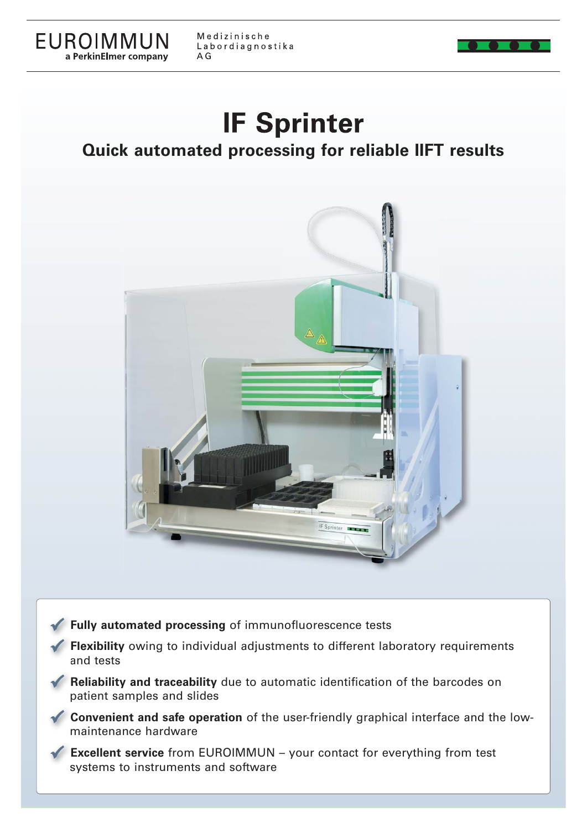

Medizinische Labordiagnostika  $A G$ 

# **IF Sprinter**

**Quick automated processing for reliable IIFT results**